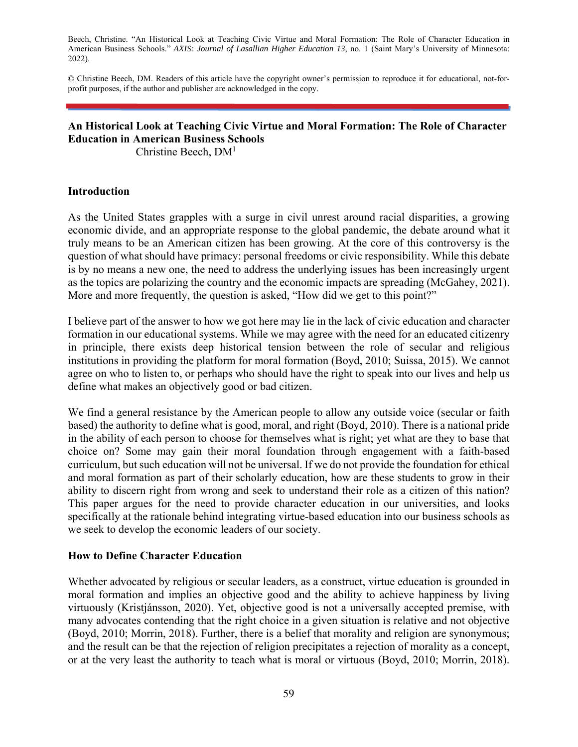Beech, Christine. "An Historical Look at Teaching Civic Virtue and Moral Formation: The Role of Character Education in American Business Schools." *AXIS: Journal of Lasallian Higher Education 13*, no. 1 (Saint Mary's University of Minnesota: 2022).

© Christine Beech, DM. Readers of this article have the copyright owner's permission to reproduce it for educational, not-forprofit purposes, if the author and publisher are acknowledged in the copy.

# **An Historical Look at Teaching Civic Virtue and Moral Formation: The Role of Character Education in American Business Schools**

Christine Beech, DM1

# **Introduction**

As the United States grapples with a surge in civil unrest around racial disparities, a growing economic divide, and an appropriate response to the global pandemic, the debate around what it truly means to be an American citizen has been growing. At the core of this controversy is the question of what should have primacy: personal freedoms or civic responsibility. While this debate is by no means a new one, the need to address the underlying issues has been increasingly urgent as the topics are polarizing the country and the economic impacts are spreading (McGahey, 2021). More and more frequently, the question is asked, "How did we get to this point?"

I believe part of the answer to how we got here may lie in the lack of civic education and character formation in our educational systems. While we may agree with the need for an educated citizenry in principle, there exists deep historical tension between the role of secular and religious institutions in providing the platform for moral formation (Boyd, 2010; Suissa, 2015). We cannot agree on who to listen to, or perhaps who should have the right to speak into our lives and help us define what makes an objectively good or bad citizen.

We find a general resistance by the American people to allow any outside voice (secular or faith based) the authority to define what is good, moral, and right (Boyd, 2010). There is a national pride in the ability of each person to choose for themselves what is right; yet what are they to base that choice on? Some may gain their moral foundation through engagement with a faith-based curriculum, but such education will not be universal. If we do not provide the foundation for ethical and moral formation as part of their scholarly education, how are these students to grow in their ability to discern right from wrong and seek to understand their role as a citizen of this nation? This paper argues for the need to provide character education in our universities, and looks specifically at the rationale behind integrating virtue-based education into our business schools as we seek to develop the economic leaders of our society.

# **How to Define Character Education**

Whether advocated by religious or secular leaders, as a construct, virtue education is grounded in moral formation and implies an objective good and the ability to achieve happiness by living virtuously (Kristjánsson, 2020). Yet, objective good is not a universally accepted premise, with many advocates contending that the right choice in a given situation is relative and not objective (Boyd, 2010; Morrin, 2018). Further, there is a belief that morality and religion are synonymous; and the result can be that the rejection of religion precipitates a rejection of morality as a concept, or at the very least the authority to teach what is moral or virtuous (Boyd, 2010; Morrin, 2018).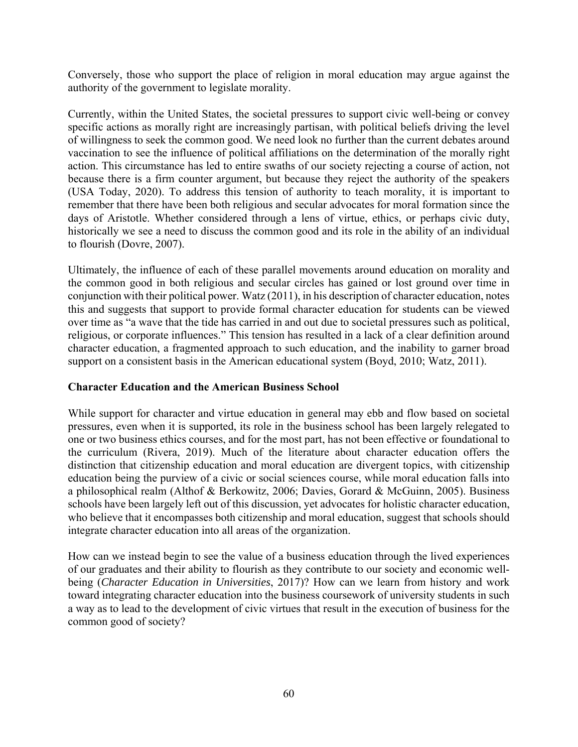Conversely, those who support the place of religion in moral education may argue against the authority of the government to legislate morality.

Currently, within the United States, the societal pressures to support civic well-being or convey specific actions as morally right are increasingly partisan, with political beliefs driving the level of willingness to seek the common good. We need look no further than the current debates around vaccination to see the influence of political affiliations on the determination of the morally right action. This circumstance has led to entire swaths of our society rejecting a course of action, not because there is a firm counter argument, but because they reject the authority of the speakers (USA Today, 2020). To address this tension of authority to teach morality, it is important to remember that there have been both religious and secular advocates for moral formation since the days of Aristotle. Whether considered through a lens of virtue, ethics, or perhaps civic duty, historically we see a need to discuss the common good and its role in the ability of an individual to flourish (Dovre, 2007).

Ultimately, the influence of each of these parallel movements around education on morality and the common good in both religious and secular circles has gained or lost ground over time in conjunction with their political power. Watz (2011), in his description of character education, notes this and suggests that support to provide formal character education for students can be viewed over time as "a wave that the tide has carried in and out due to societal pressures such as political, religious, or corporate influences." This tension has resulted in a lack of a clear definition around character education, a fragmented approach to such education, and the inability to garner broad support on a consistent basis in the American educational system (Boyd, 2010; Watz, 2011).

# **Character Education and the American Business School**

While support for character and virtue education in general may ebb and flow based on societal pressures, even when it is supported, its role in the business school has been largely relegated to one or two business ethics courses, and for the most part, has not been effective or foundational to the curriculum (Rivera, 2019). Much of the literature about character education offers the distinction that citizenship education and moral education are divergent topics, with citizenship education being the purview of a civic or social sciences course, while moral education falls into a philosophical realm (Althof & Berkowitz, 2006; Davies, Gorard & McGuinn, 2005). Business schools have been largely left out of this discussion, yet advocates for holistic character education, who believe that it encompasses both citizenship and moral education, suggest that schools should integrate character education into all areas of the organization.

How can we instead begin to see the value of a business education through the lived experiences of our graduates and their ability to flourish as they contribute to our society and economic wellbeing (*Character Education in Universities*, 2017)? How can we learn from history and work toward integrating character education into the business coursework of university students in such a way as to lead to the development of civic virtues that result in the execution of business for the common good of society?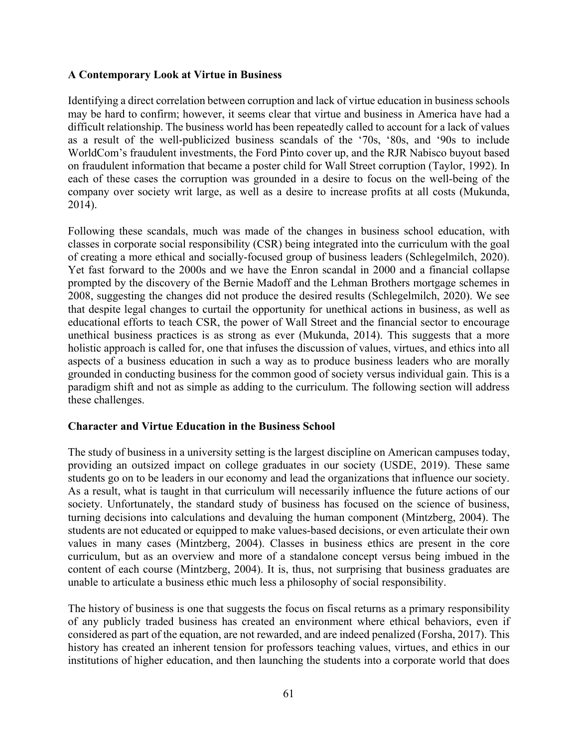# **A Contemporary Look at Virtue in Business**

Identifying a direct correlation between corruption and lack of virtue education in business schools may be hard to confirm; however, it seems clear that virtue and business in America have had a difficult relationship. The business world has been repeatedly called to account for a lack of values as a result of the well-publicized business scandals of the '70s, '80s, and '90s to include WorldCom's fraudulent investments, the Ford Pinto cover up, and the RJR Nabisco buyout based on fraudulent information that became a poster child for Wall Street corruption (Taylor, 1992). In each of these cases the corruption was grounded in a desire to focus on the well-being of the company over society writ large, as well as a desire to increase profits at all costs (Mukunda, 2014).

Following these scandals, much was made of the changes in business school education, with classes in corporate social responsibility (CSR) being integrated into the curriculum with the goal of creating a more ethical and socially-focused group of business leaders (Schlegelmilch, 2020). Yet fast forward to the 2000s and we have the Enron scandal in 2000 and a financial collapse prompted by the discovery of the Bernie Madoff and the Lehman Brothers mortgage schemes in 2008, suggesting the changes did not produce the desired results (Schlegelmilch, 2020). We see that despite legal changes to curtail the opportunity for unethical actions in business, as well as educational efforts to teach CSR, the power of Wall Street and the financial sector to encourage unethical business practices is as strong as ever (Mukunda, 2014). This suggests that a more holistic approach is called for, one that infuses the discussion of values, virtues, and ethics into all aspects of a business education in such a way as to produce business leaders who are morally grounded in conducting business for the common good of society versus individual gain. This is a paradigm shift and not as simple as adding to the curriculum. The following section will address these challenges.

# **Character and Virtue Education in the Business School**

The study of business in a university setting is the largest discipline on American campuses today, providing an outsized impact on college graduates in our society (USDE, 2019). These same students go on to be leaders in our economy and lead the organizations that influence our society. As a result, what is taught in that curriculum will necessarily influence the future actions of our society. Unfortunately, the standard study of business has focused on the science of business, turning decisions into calculations and devaluing the human component (Mintzberg, 2004). The students are not educated or equipped to make values-based decisions, or even articulate their own values in many cases (Mintzberg, 2004). Classes in business ethics are present in the core curriculum, but as an overview and more of a standalone concept versus being imbued in the content of each course (Mintzberg, 2004). It is, thus, not surprising that business graduates are unable to articulate a business ethic much less a philosophy of social responsibility.

The history of business is one that suggests the focus on fiscal returns as a primary responsibility of any publicly traded business has created an environment where ethical behaviors, even if considered as part of the equation, are not rewarded, and are indeed penalized (Forsha, 2017). This history has created an inherent tension for professors teaching values, virtues, and ethics in our institutions of higher education, and then launching the students into a corporate world that does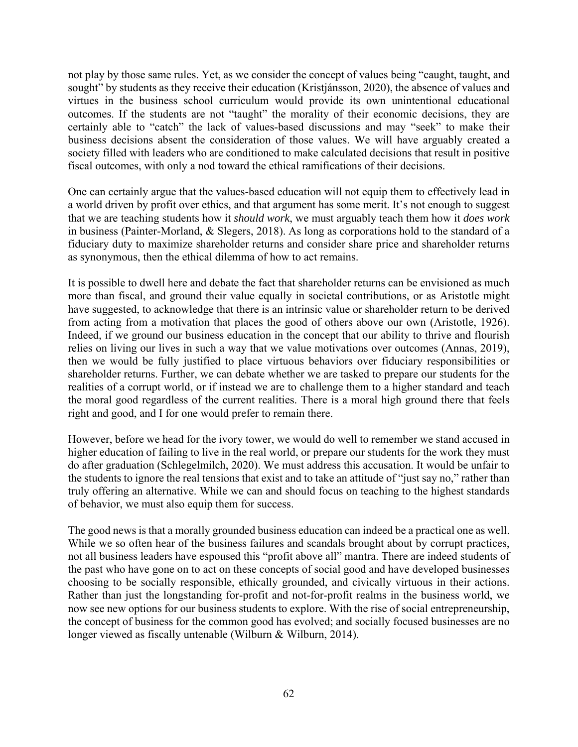not play by those same rules. Yet, as we consider the concept of values being "caught, taught, and sought" by students as they receive their education (Kristjánsson, 2020), the absence of values and virtues in the business school curriculum would provide its own unintentional educational outcomes. If the students are not "taught" the morality of their economic decisions, they are certainly able to "catch" the lack of values-based discussions and may "seek" to make their business decisions absent the consideration of those values. We will have arguably created a society filled with leaders who are conditioned to make calculated decisions that result in positive fiscal outcomes, with only a nod toward the ethical ramifications of their decisions.

One can certainly argue that the values-based education will not equip them to effectively lead in a world driven by profit over ethics, and that argument has some merit. It's not enough to suggest that we are teaching students how it *should work*, we must arguably teach them how it *does work*  in business (Painter-Morland, & Slegers, 2018). As long as corporations hold to the standard of a fiduciary duty to maximize shareholder returns and consider share price and shareholder returns as synonymous, then the ethical dilemma of how to act remains.

It is possible to dwell here and debate the fact that shareholder returns can be envisioned as much more than fiscal, and ground their value equally in societal contributions, or as Aristotle might have suggested, to acknowledge that there is an intrinsic value or shareholder return to be derived from acting from a motivation that places the good of others above our own (Aristotle, 1926). Indeed, if we ground our business education in the concept that our ability to thrive and flourish relies on living our lives in such a way that we value motivations over outcomes (Annas, 2019), then we would be fully justified to place virtuous behaviors over fiduciary responsibilities or shareholder returns. Further, we can debate whether we are tasked to prepare our students for the realities of a corrupt world, or if instead we are to challenge them to a higher standard and teach the moral good regardless of the current realities. There is a moral high ground there that feels right and good, and I for one would prefer to remain there.

However, before we head for the ivory tower, we would do well to remember we stand accused in higher education of failing to live in the real world, or prepare our students for the work they must do after graduation (Schlegelmilch, 2020). We must address this accusation. It would be unfair to the students to ignore the real tensions that exist and to take an attitude of "just say no," rather than truly offering an alternative. While we can and should focus on teaching to the highest standards of behavior, we must also equip them for success.

The good news is that a morally grounded business education can indeed be a practical one as well. While we so often hear of the business failures and scandals brought about by corrupt practices, not all business leaders have espoused this "profit above all" mantra. There are indeed students of the past who have gone on to act on these concepts of social good and have developed businesses choosing to be socially responsible, ethically grounded, and civically virtuous in their actions. Rather than just the longstanding for-profit and not-for-profit realms in the business world, we now see new options for our business students to explore. With the rise of social entrepreneurship, the concept of business for the common good has evolved; and socially focused businesses are no longer viewed as fiscally untenable (Wilburn & Wilburn, 2014).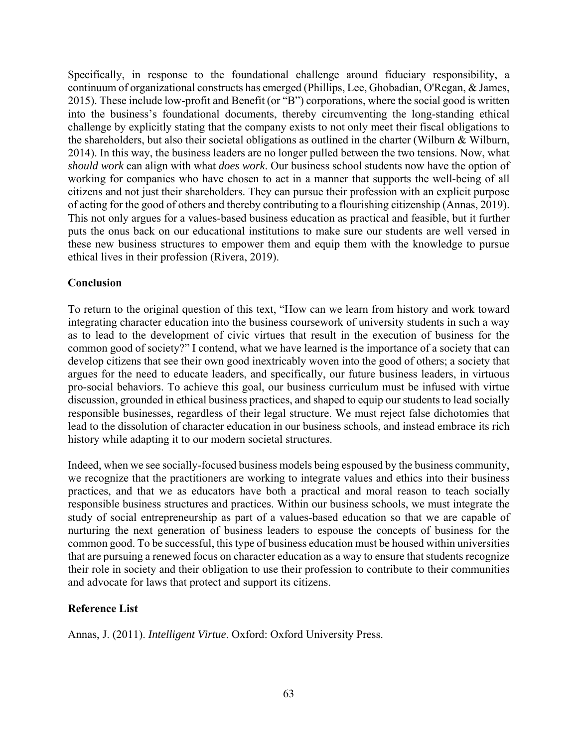Specifically, in response to the foundational challenge around fiduciary responsibility, a continuum of organizational constructs has emerged (Phillips, Lee, Ghobadian, O'Regan, & James, 2015). These include low-profit and Benefit (or "B") corporations, where the social good is written into the business's foundational documents, thereby circumventing the long-standing ethical challenge by explicitly stating that the company exists to not only meet their fiscal obligations to the shareholders, but also their societal obligations as outlined in the charter (Wilburn & Wilburn, 2014). In this way, the business leaders are no longer pulled between the two tensions. Now, what *should work* can align with what *does work*. Our business school students now have the option of working for companies who have chosen to act in a manner that supports the well-being of all citizens and not just their shareholders. They can pursue their profession with an explicit purpose of acting for the good of others and thereby contributing to a flourishing citizenship (Annas, 2019). This not only argues for a values-based business education as practical and feasible, but it further puts the onus back on our educational institutions to make sure our students are well versed in these new business structures to empower them and equip them with the knowledge to pursue ethical lives in their profession (Rivera, 2019).

# **Conclusion**

To return to the original question of this text, "How can we learn from history and work toward integrating character education into the business coursework of university students in such a way as to lead to the development of civic virtues that result in the execution of business for the common good of society?" I contend, what we have learned is the importance of a society that can develop citizens that see their own good inextricably woven into the good of others; a society that argues for the need to educate leaders, and specifically, our future business leaders, in virtuous pro-social behaviors. To achieve this goal, our business curriculum must be infused with virtue discussion, grounded in ethical business practices, and shaped to equip our students to lead socially responsible businesses, regardless of their legal structure. We must reject false dichotomies that lead to the dissolution of character education in our business schools, and instead embrace its rich history while adapting it to our modern societal structures.

Indeed, when we see socially-focused business models being espoused by the business community, we recognize that the practitioners are working to integrate values and ethics into their business practices, and that we as educators have both a practical and moral reason to teach socially responsible business structures and practices. Within our business schools, we must integrate the study of social entrepreneurship as part of a values-based education so that we are capable of nurturing the next generation of business leaders to espouse the concepts of business for the common good. To be successful, this type of business education must be housed within universities that are pursuing a renewed focus on character education as a way to ensure that students recognize their role in society and their obligation to use their profession to contribute to their communities and advocate for laws that protect and support its citizens.

# **Reference List**

Annas, J. (2011). *Intelligent Virtue*. Oxford: Oxford University Press.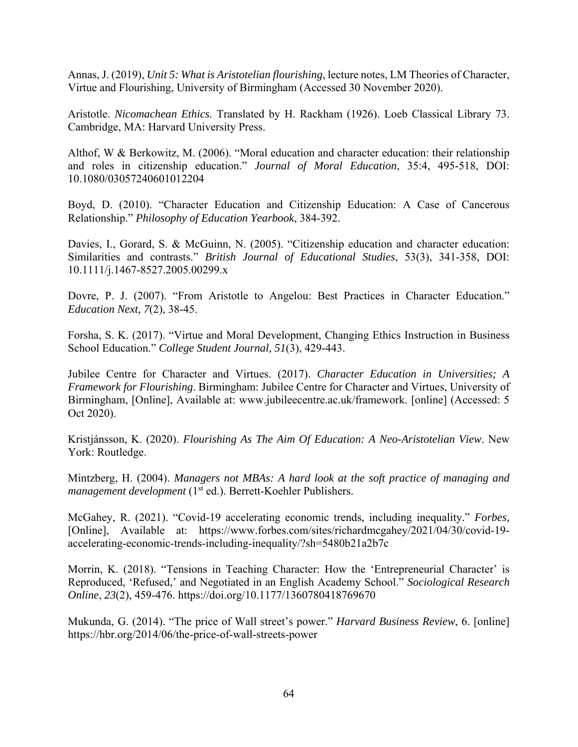Annas, J. (2019), *Unit 5: What is Aristotelian flourishing*, lecture notes, LM Theories of Character, Virtue and Flourishing, University of Birmingham (Accessed 30 November 2020).

Aristotle. *Nicomachean Ethics.* Translated by H. Rackham (1926). Loeb Classical Library 73. Cambridge, MA: Harvard University Press.

Althof, W & Berkowitz, M. (2006). "Moral education and character education: their relationship and roles in citizenship education." *Journal of Moral Education*, 35:4, 495-518, DOI: 10.1080/03057240601012204

Boyd, D. (2010). "Character Education and Citizenship Education: A Case of Cancerous Relationship." *Philosophy of Education Yearbook*, 384-392.

Davies, I., Gorard, S. & McGuinn, N. (2005). "Citizenship education and character education: Similarities and contrasts." *British Journal of Educational Studies*, 53(3), 341-358, DOI: 10.1111/j.1467-8527.2005.00299.x

Dovre, P. J. (2007). "From Aristotle to Angelou: Best Practices in Character Education." *Education Next, 7*(2), 38-45.

Forsha, S. K. (2017). "Virtue and Moral Development, Changing Ethics Instruction in Business School Education." *College Student Journal, 51*(3), 429-443.

Jubilee Centre for Character and Virtues. (2017). *Character Education in Universities; A Framework for Flourishing*. Birmingham: Jubilee Centre for Character and Virtues, University of Birmingham, [Online], Available at: www.jubileecentre.ac.uk/framework. [online] (Accessed: 5 Oct 2020).

Kristjánsson, K. (2020). *Flourishing As The Aim Of Education: A Neo-Aristotelian View*. New York: Routledge.

Mintzberg, H. (2004). *Managers not MBAs: A hard look at the soft practice of managing and management development* (1<sup>st</sup> ed.). Berrett-Koehler Publishers.

McGahey, R. (2021). "Covid-19 accelerating economic trends, including inequality." *Forbes,*  [Online], Available at: https://www.forbes.com/sites/richardmcgahey/2021/04/30/covid-19 accelerating-economic-trends-including-inequality/?sh=5480b21a2b7c

Morrin, K. (2018). "Tensions in Teaching Character: How the 'Entrepreneurial Character' is Reproduced, 'Refused,' and Negotiated in an English Academy School." *Sociological Research Online*, *23*(2), 459-476. https://doi.org/10.1177/1360780418769670

Mukunda, G. (2014). "The price of Wall street's power." *Harvard Business Review*, 6. [online] https://hbr.org/2014/06/the-price-of-wall-streets-power